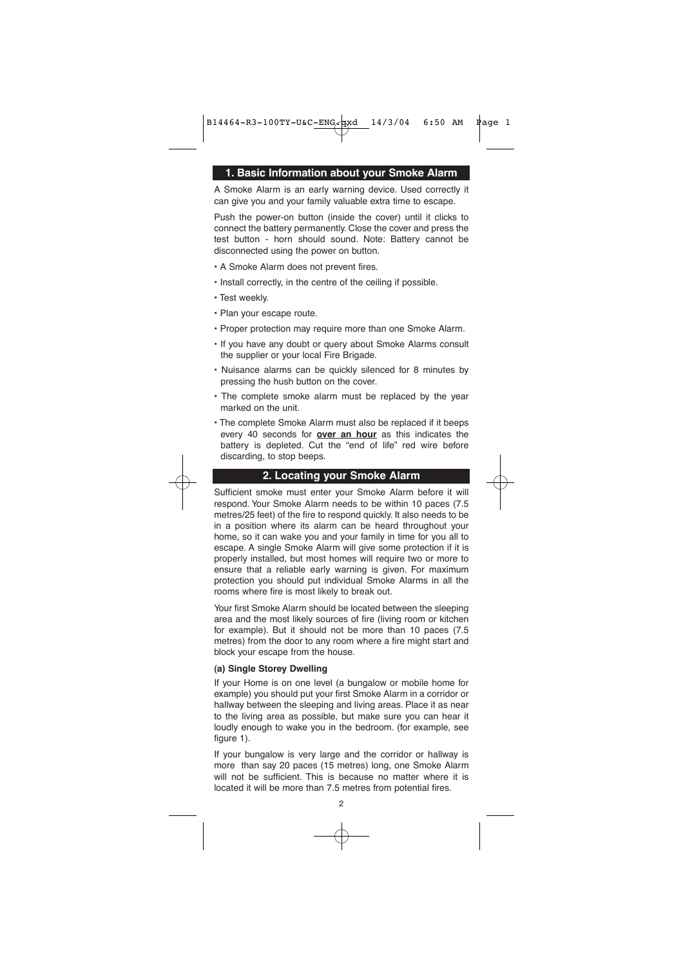#### **1. Basic Information about your Smoke Alarm**

A Smoke Alarm is an early warning device. Used correctly it can give you and your family valuable extra time to escape.

Push the power-on button (inside the cover) until it clicks to connect the battery permanently. Close the cover and press the test button - horn should sound. Note: Battery cannot be disconnected using the power on button.

- A Smoke Alarm does not prevent fires.
- Install correctly, in the centre of the ceiling if possible.
- Test weekly.
- Plan your escape route.
- Proper protection may require more than one Smoke Alarm.
- If you have any doubt or query about Smoke Alarms consult the supplier or your local Fire Brigade.
- Nuisance alarms can be quickly silenced for 8 minutes by pressing the hush button on the cover.
- The complete smoke alarm must be replaced by the year marked on the unit.
- The complete Smoke Alarm must also be replaced if it beeps every 40 seconds for **over an hour** as this indicates the battery is depleted. Cut the "end of life" red wire before discarding, to stop beeps.

#### **2. Locating your Smoke Alarm**

Sufficient smoke must enter your Smoke Alarm before it will respond. Your Smoke Alarm needs to be within 10 paces (7.5 metres/25 feet) of the fire to respond quickly. It also needs to be in a position where its alarm can be heard throughout your home, so it can wake you and your family in time for you all to escape. A single Smoke Alarm will give some protection if it is properly installed, but most homes will require two or more to ensure that a reliable early warning is given. For maximum protection you should put individual Smoke Alarms in all the rooms where fire is most likely to break out.

Your first Smoke Alarm should be located between the sleeping area and the most likely sources of fire (living room or kitchen for example). But it should not be more than 10 paces (7.5 metres) from the door to any room where a fire might start and block your escape from the house.

#### **(a) Single Storey Dwelling**

If your Home is on one level (a bungalow or mobile home for example) you should put your first Smoke Alarm in a corridor or hallway between the sleeping and living areas. Place it as near to the living area as possible, but make sure you can hear it loudly enough to wake you in the bedroom. (for example, see  $f$ igure 1).

If your bungalow is very large and the corridor or hallway is more than say 20 paces (15 metres) long, one Smoke Alarm will not be sufficient. This is because no matter where it is located it will be more than 7.5 metres from potential fires.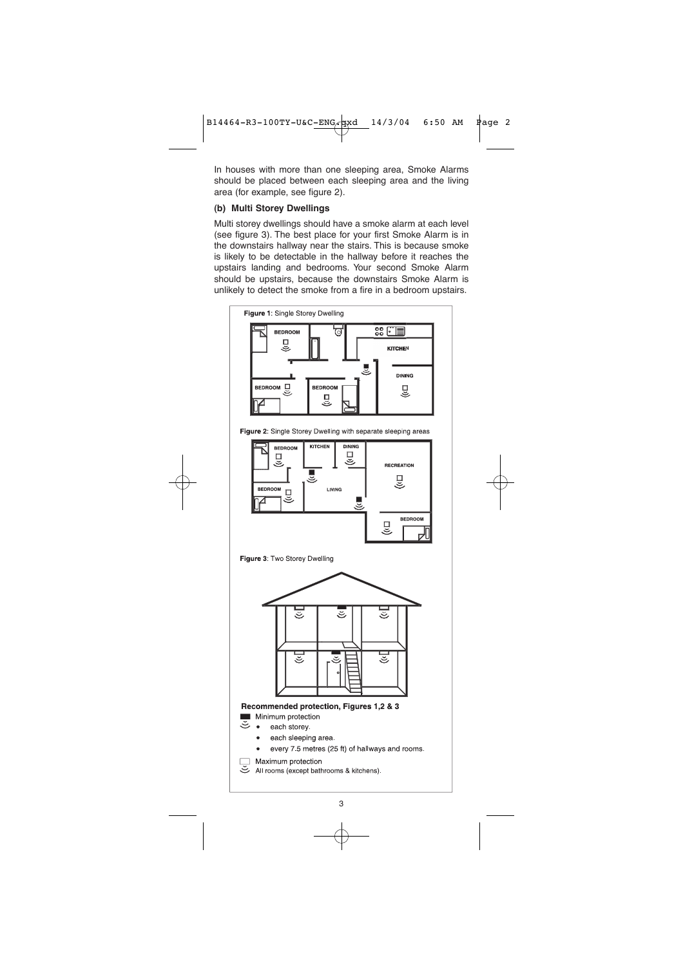In houses with more than one sleeping area, Smoke Alarms should be placed between each sleeping area and the living area (for example, see figure 2).

# **(b) Multi Storey Dwellings**

Multi storey dwellings should have a smoke alarm at each level (see figure 3). The best place for your first Smoke Alarm is in the downstairs hallway near the stairs. This is because smoke is likely to be detectable in the hallway before it reaches the upstairs landing and bedrooms. Your second Smoke Alarm should be upstairs, because the downstairs Smoke Alarm is unlikely to detect the smoke from a fire in a bedroom upstairs.



3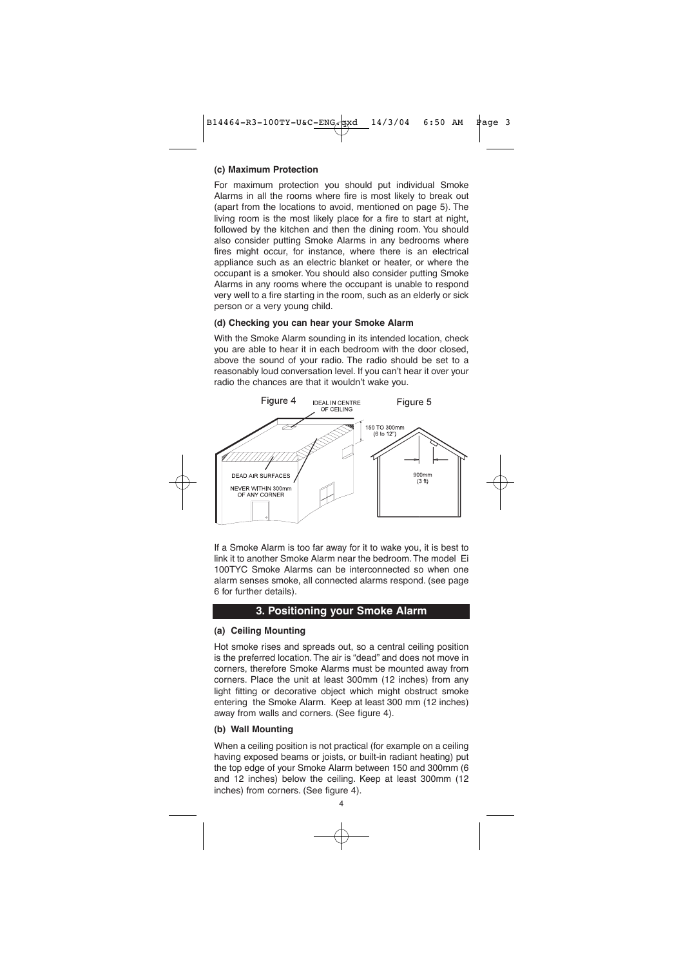#### **(c) Maximum Protection**

For maximum protection you should put individual Smoke Alarms in all the rooms where fire is most likely to break out (apart from the locations to avoid, mentioned on page 5). The living room is the most likely place for a fire to start at night, followed by the kitchen and then the dining room. You should also consider putting Smoke Alarms in any bedrooms where fires might occur, for instance, where there is an electrical appliance such as an electric blanket or heater, or where the occupant is a smoker. You should also consider putting Smoke Alarms in any rooms where the occupant is unable to respond very well to a fire starting in the room, such as an elderly or sick person or a very young child.

# **(d) Checking you can hear your Smoke Alarm**

With the Smoke Alarm sounding in its intended location, check you are able to hear it in each bedroom with the door closed, above the sound of your radio. The radio should be set to a reasonably loud conversation level. If you can't hear it over your radio the chances are that it wouldn't wake you.



If a Smoke Alarm is too far away for it to wake you, it is best to link it to another Smoke Alarm near the bedroom.The model Ei 100TYC Smoke Alarms can be interconnected so when one alarm senses smoke, all connected alarms respond. (see page 6 for further details).

# **3. Positioning your Smoke Alarm**

#### **(a) Ceiling Mounting**

Hot smoke rises and spreads out, so a central ceiling position is the preferred location. The air is "dead" and does not move in corners, therefore Smoke Alarms must be mounted away from corners. Place the unit at least 300mm (12 inches) from any light fitting or decorative object which might obstruct smoke entering the Smoke Alarm. Keep at least 300 mm (12 inches) away from walls and corners. (See figure 4).

#### **(b) Wall Mounting**

When a ceiling position is not practical (for example on a ceiling having exposed beams or joists, or built-in radiant heating) put the top edge of your Smoke Alarm between 150 and 300mm (6 and 12 inches) below the ceiling. Keep at least 300mm (12 inches) from corners. (See figure 4).

4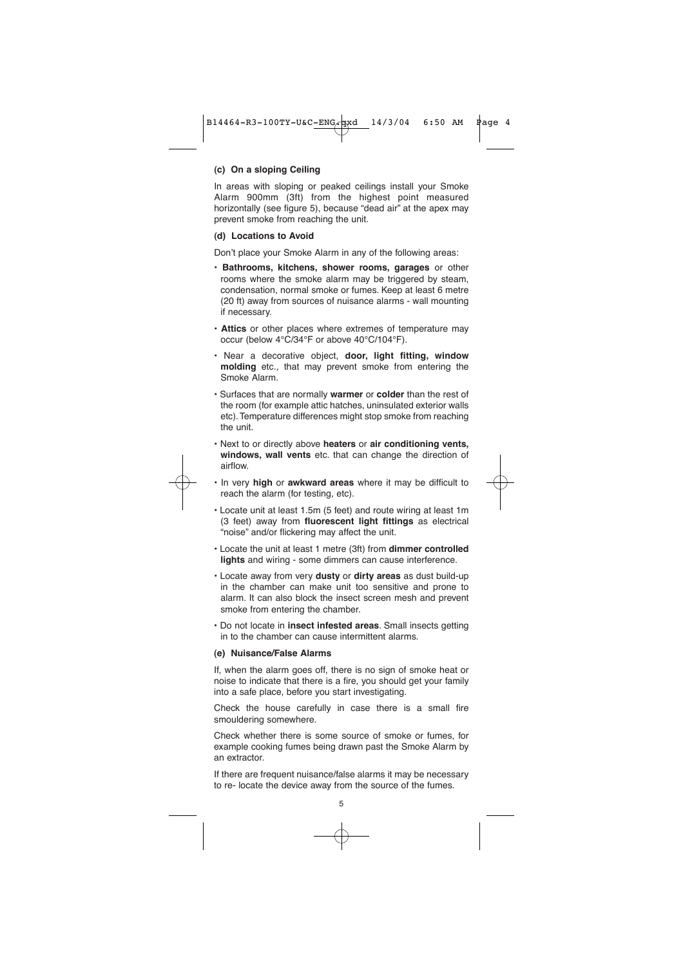#### **(c) On a sloping Ceiling**

In areas with sloping or peaked ceilings install your Smoke Alarm 900mm (3ft) from the highest point measured horizontally (see figure 5), because "dead air" at the apex may prevent smoke from reaching the unit.

#### **(d) Locations to Avoid**

Don't place your Smoke Alarm in any of the following areas:

- **Bathrooms, kitchens, shower rooms, garages** or other rooms where the smoke alarm may be triggered by steam, condensation, normal smoke or fumes. Keep at least 6 metre (20 ft) away from sources of nuisance alarms - wall mounting if necessary.
- **Attics** or other places where extremes of temperature may occur (below 4°C/34°F or above 40°C/104°F).
- Near a decorative object, **door, light fitting, window molding** etc., that may prevent smoke from entering the Smoke Alarm.
- Surfaces that are normally **warmer** or **colder** than the rest of the room (for example attic hatches, uninsulated exterior walls etc).Temperature differences might stop smoke from reaching the unit.
- Next to or directly above **heaters** or **air conditioning vents, windows, wall vents** etc. that can change the direction of airflow.
- In very **high** or **awkward areas** where it may be difficult to reach the alarm (for testing, etc).
- Locate unit at least 1.5m (5 feet) and route wiring at least 1m (3 feet) away from **fluorescent light fittings** as electrical "noise" and/or flickering may affect the unit.
- Locate the unit at least 1 metre (3ft) from **dimmer controlled lights** and wiring - some dimmers can cause interference.
- Locate away from very **dusty** or **dirty areas** as dust build-up in the chamber can make unit too sensitive and prone to alarm. It can also block the insect screen mesh and prevent smoke from entering the chamber.
- Do not locate in **insect infested areas**. Small insects getting in to the chamber can cause intermittent alarms.

#### **(e) Nuisance/False Alarms**

If, when the alarm goes off, there is no sign of smoke heat or noise to indicate that there is a fire, you should get your family into a safe place, before you start investigating.

Check the house carefully in case there is a small fire smouldering somewhere.

Check whether there is some source of smoke or fumes, for example cooking fumes being drawn past the Smoke Alarm by an extractor.

If there are frequent nuisance/false alarms it may be necessary to re- locate the device away from the source of the fumes.

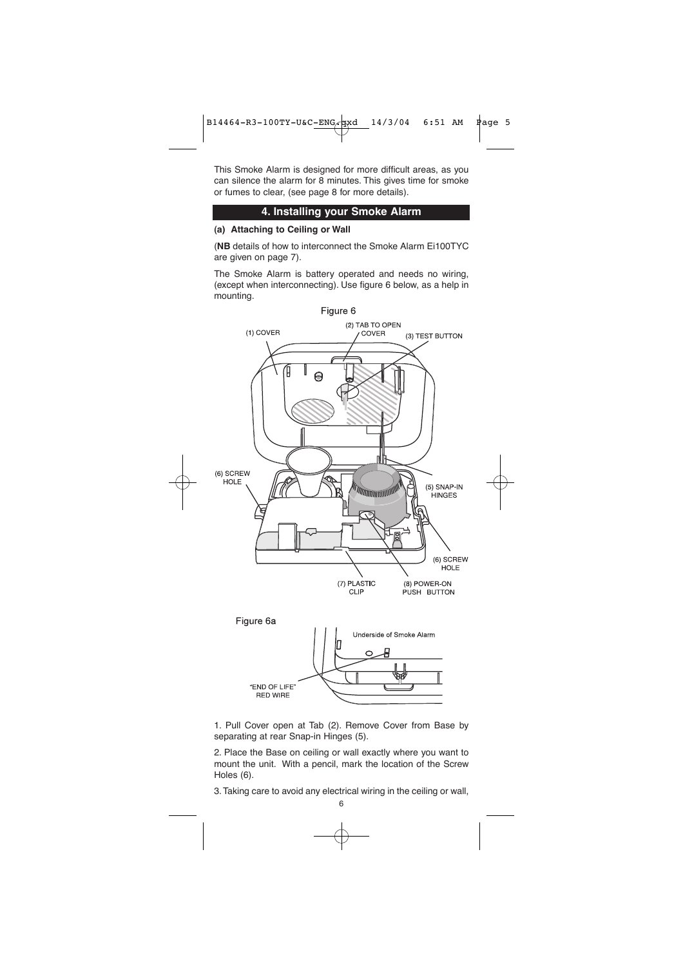This Smoke Alarm is designed for more difficult areas, as you can silence the alarm for 8 minutes. This gives time for smoke or fumes to clear, (see page 8 for more details).

# **4. Installing your Smoke Alarm**

# **(a) Attaching to Ceiling or Wall**

(**NB** details of how to interconnect the Smoke Alarm Ei100TYC are given on page 7).

The Smoke Alarm is battery operated and needs no wiring, (except when interconnecting). Use figure 6 below, as a help in mounting.



1. Pull Cover open at Tab (2). Remove Cover from Base by separating at rear Snap-in Hinges (5).

2. Place the Base on ceiling or wall exactly where you want to mount the unit. With a pencil, mark the location of the Screw Holes (6).

3.Taking care to avoid any electrical wiring in the ceiling or wall,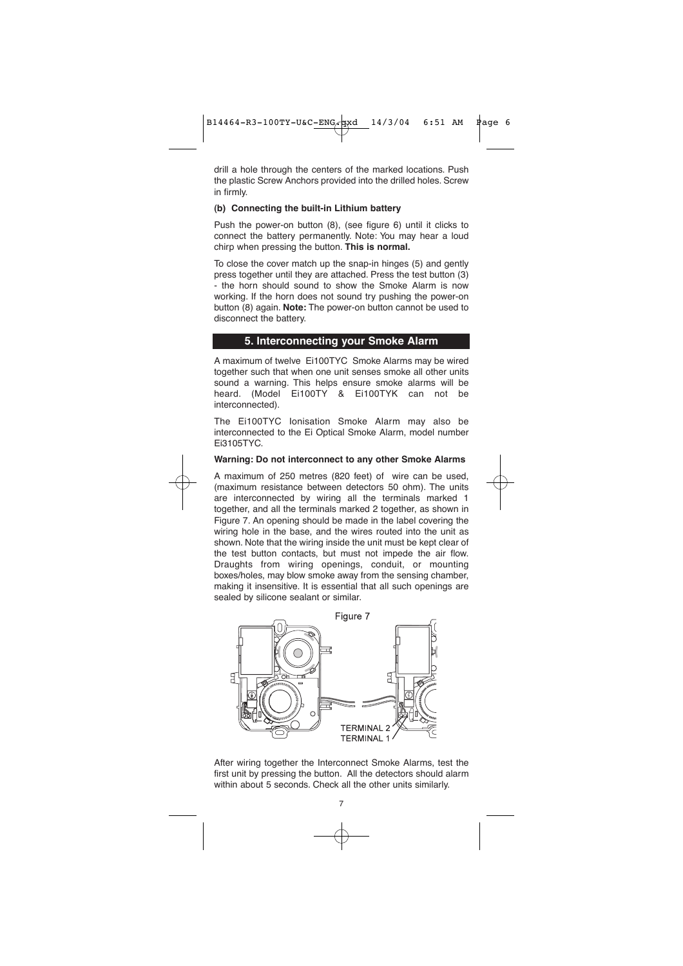drill a hole through the centers of the marked locations. Push the plastic Screw Anchors provided into the drilled holes. Screw in firmly.

#### **(b) Connecting the built-in Lithium battery**

Push the power-on button (8), (see figure 6) until it clicks to connect the battery permanently. Note: You may hear a loud chirp when pressing the button. **This is normal.**

To close the cover match up the snap-in hinges (5) and gently press together until they are attached. Press the test button (3) - the horn should sound to show the Smoke Alarm is now working. If the horn does not sound try pushing the power-on button (8) again. **Note:** The power-on button cannot be used to disconnect the battery.

#### **5. Interconnecting your Smoke Alarm**

A maximum of twelve Ei100TYC Smoke Alarms may be wired together such that when one unit senses smoke all other units sound a warning. This helps ensure smoke alarms will be heard. (Model Ei100TY & Ei100TYK can not be interconnected).

The Ei100TYC Ionisation Smoke Alarm may also be interconnected to the Ei Optical Smoke Alarm, model number Ei3105TYC.

#### **Warning: Do not interconnect to any other Smoke Alarms**

A maximum of 250 metres (820 feet) of wire can be used, (maximum resistance between detectors 50 ohm). The units are interconnected by wiring all the terminals marked 1 together, and all the terminals marked 2 together, as shown in Figure 7. An opening should be made in the label covering the wiring hole in the base, and the wires routed into the unit as shown. Note that the wiring inside the unit must be kept clear of the test button contacts, but must not impede the air flow. Draughts from wiring openings, conduit, or mounting boxes/holes, may blow smoke away from the sensing chamber, making it insensitive. It is essential that all such openings are sealed by silicone sealant or similar.





7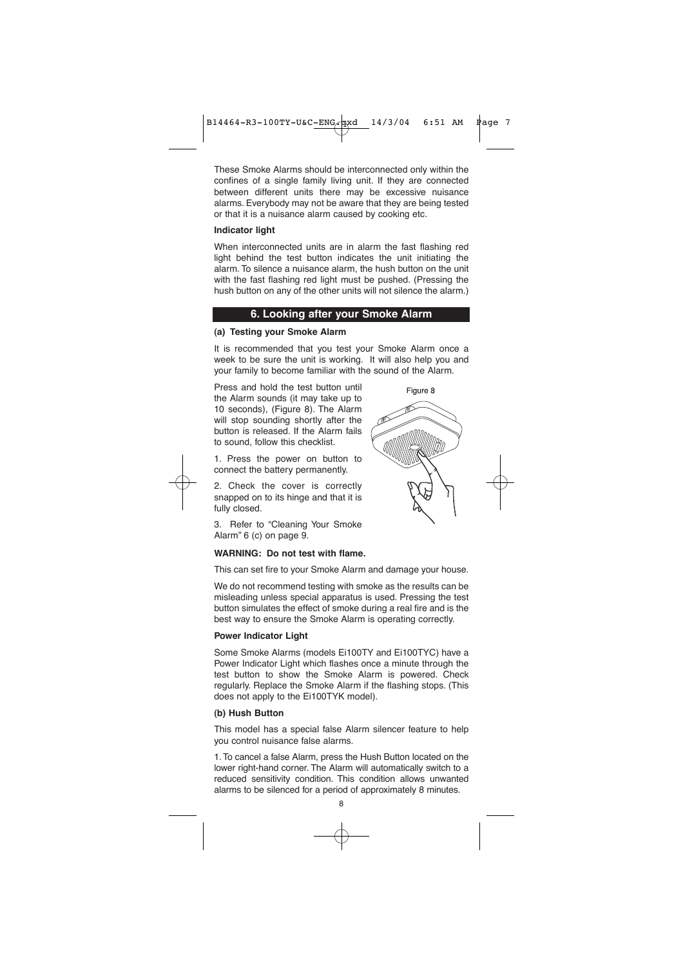These Smoke Alarms should be interconnected only within the confines of a single family living unit. If they are connected between different units there may be excessive nuisance alarms. Everybody may not be aware that they are being tested or that it is a nuisance alarm caused by cooking etc.

#### **Indicator light**

When interconnected units are in alarm the fast flashing red light behind the test button indicates the unit initiating the alarm. To silence a nuisance alarm, the hush button on the unit with the fast flashing red light must be pushed. (Pressing the hush button on any of the other units will not silence the alarm.)

#### **6. Looking after your Smoke Alarm**

### **(a) Testing your Smoke Alarm**

It is recommended that you test your Smoke Alarm once a week to be sure the unit is working. It will also help you and your family to become familiar with the sound of the Alarm.

Press and hold the test button until the Alarm sounds (it may take up to 10 seconds), (Figure 8). The Alarm will stop sounding shortly after the button is released. If the Alarm fails to sound, follow this checklist.

1. Press the power on button to connect the battery permanently.

2. Check the cover is correctly snapped on to its hinge and that it is fully closed.

3. Refer to "Cleaning Your Smoke Alarm" 6 (c) on page 9.

#### **WARNING: Do not test with flame.**

This can set fire to your Smoke Alarm and damage your house.

We do not recommend testing with smoke as the results can be misleading unless special apparatus is used. Pressing the test button simulates the effect of smoke during a real fire and is the best way to ensure the Smoke Alarm is operating correctly.

#### **Power Indicator Light**

Some Smoke Alarms (models Ei100TY and Ei100TYC) have a Power Indicator Light which flashes once a minute through the test button to show the Smoke Alarm is powered. Check regularly. Replace the Smoke Alarm if the flashing stops. (This does not apply to the Ei100TYK model).

#### **(b) Hush Button**

This model has a special false Alarm silencer feature to help you control nuisance false alarms.

1. To cancel a false Alarm, press the Hush Button located on the lower right-hand corner. The Alarm will automatically switch to a reduced sensitivity condition. This condition allows unwanted alarms to be silenced for a period of approximately 8 minutes.

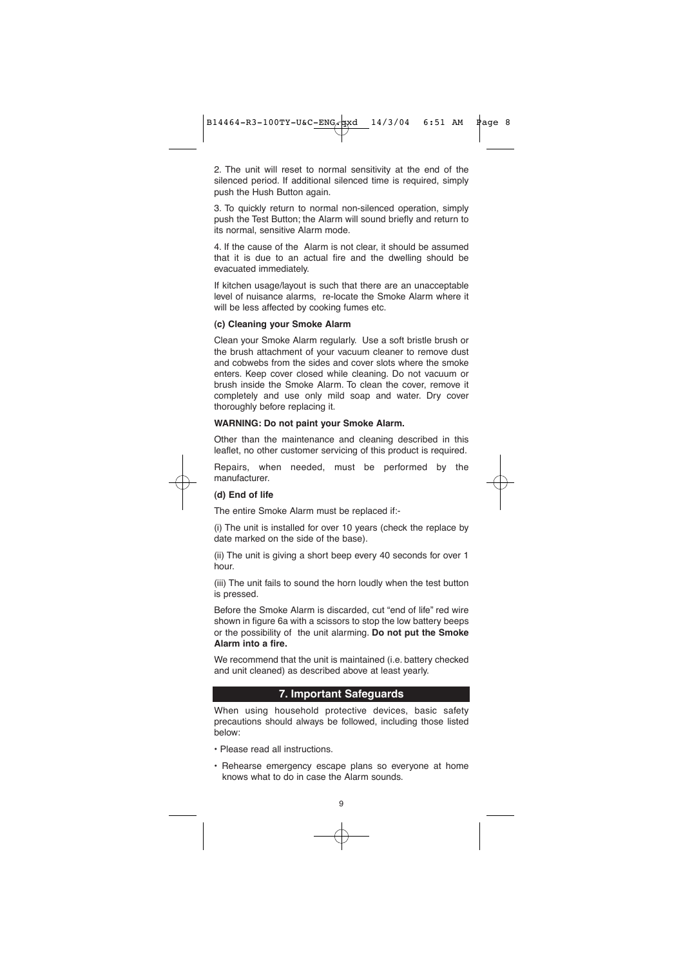2. The unit will reset to normal sensitivity at the end of the silenced period. If additional silenced time is required, simply push the Hush Button again.

3. To quickly return to normal non-silenced operation, simply push the Test Button; the Alarm will sound briefly and return to its normal, sensitive Alarm mode.

4. If the cause of the Alarm is not clear, it should be assumed that it is due to an actual fire and the dwelling should be evacuated immediately.

If kitchen usage/layout is such that there are an unacceptable level of nuisance alarms, re-locate the Smoke Alarm where it will be less affected by cooking fumes etc.

#### **(c) Cleaning your Smoke Alarm**

Clean your Smoke Alarm regularly. Use a soft bristle brush or the brush attachment of your vacuum cleaner to remove dust and cobwebs from the sides and cover slots where the smoke enters. Keep cover closed while cleaning. Do not vacuum or brush inside the Smoke Alarm. To clean the cover, remove it completely and use only mild soap and water. Dry cover thoroughly before replacing it.

#### **WARNING: Do not paint your Smoke Alarm.**

Other than the maintenance and cleaning described in this leaflet, no other customer servicing of this product is required.

Repairs, when needed, must be performed by the manufacturer.

#### **(d) End of life**

The entire Smoke Alarm must be replaced if:-

(i) The unit is installed for over 10 years (check the replace by date marked on the side of the base).

(ii) The unit is giving a short beep every 40 seconds for over 1 hour.

(iii) The unit fails to sound the horn loudly when the test button is pressed.

Before the Smoke Alarm is discarded, cut "end of life" red wire shown in figure 6a with a scissors to stop the low battery beeps or the possibility of the unit alarming. **Do not put the Smoke Alarm into a fire.**

We recommend that the unit is maintained (i.e. battery checked and unit cleaned) as described above at least yearly.

#### **7. Important Safeguards**

When using household protective devices, basic safety precautions should always be followed, including those listed below:

- Please read all instructions.
- Rehearse emergency escape plans so everyone at home knows what to do in case the Alarm sounds.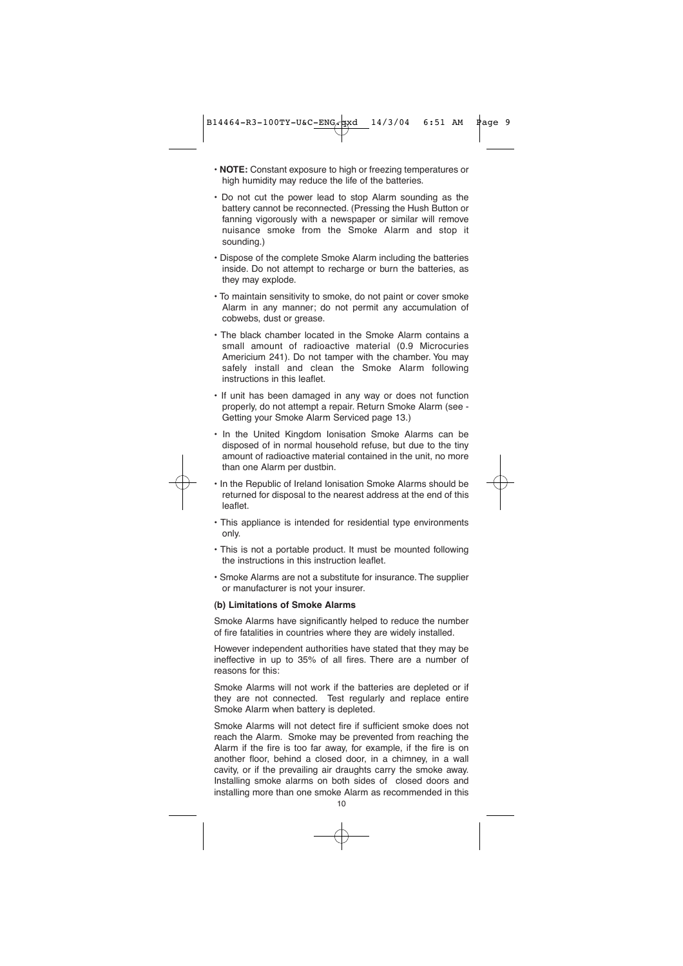- **NOTE:** Constant exposure to high or freezing temperatures or high humidity may reduce the life of the batteries.
- Do not cut the power lead to stop Alarm sounding as the battery cannot be reconnected. (Pressing the Hush Button or fanning vigorously with a newspaper or similar will remove nuisance smoke from the Smoke Alarm and stop it sounding.)
- Dispose of the complete Smoke Alarm including the batteries inside. Do not attempt to recharge or burn the batteries, as they may explode.
- To maintain sensitivity to smoke, do not paint or cover smoke Alarm in any manner; do not permit any accumulation of cobwebs, dust or grease.
- The black chamber located in the Smoke Alarm contains a small amount of radioactive material (0.9 Microcuries Americium 241). Do not tamper with the chamber. You may safely install and clean the Smoke Alarm following instructions in this leaflet.
- If unit has been damaged in any way or does not function properly, do not attempt a repair. Return Smoke Alarm (see - Getting your Smoke Alarm Serviced page 13.)
- In the United Kingdom Ionisation Smoke Alarms can be disposed of in normal household refuse, but due to the tiny amount of radioactive material contained in the unit, no more than one Alarm per dustbin.

• In the Republic of Ireland Ionisation Smoke Alarms should be returned for disposal to the nearest address at the end of this leaflet.

- This appliance is intended for residential type environments only.
- This is not a portable product. It must be mounted following the instructions in this instruction leaflet.
- Smoke Alarms are not a substitute for insurance. The supplier or manufacturer is not your insurer.

#### **(b) Limitations of Smoke Alarms**

Smoke Alarms have significantly helped to reduce the number of fire fatalities in countries where they are widely installed.

However independent authorities have stated that they may be ineffective in up to 35% of all fires. There are a number of reasons for this:

Smoke Alarms will not work if the batteries are depleted or if they are not connected. Test regularly and replace entire Smoke Alarm when battery is depleted.

Smoke Alarms will not detect fire if sufficient smoke does not reach the Alarm. Smoke may be prevented from reaching the Alarm if the fire is too far away, for example, if the fire is on another floor, behind a closed door, in a chimney, in a wall cavity, or if the prevailing air draughts carry the smoke away. Installing smoke alarms on both sides of closed doors and installing more than one smoke Alarm as recommended in this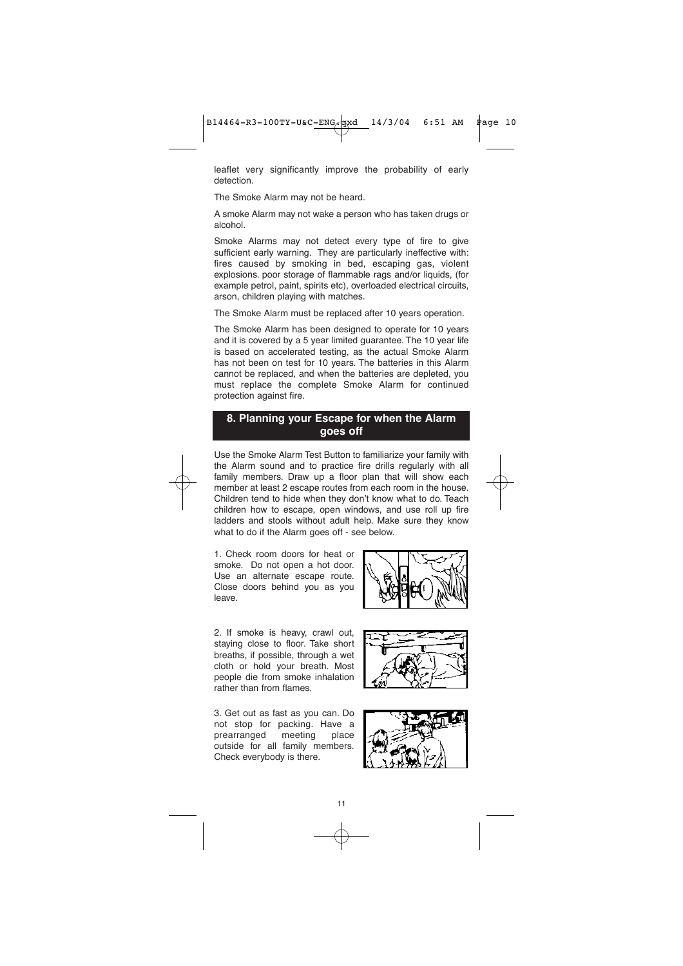leaflet very significantly improve the probability of early detection.

The Smoke Alarm may not be heard.

A smoke Alarm may not wake a person who has taken drugs or alcohol.

Smoke Alarms may not detect every type of fire to give sufficient early warning. They are particularly ineffective with: fires caused by smoking in bed, escaping gas, violent explosions. poor storage of flammable rags and/or liquids, (for example petrol, paint, spirits etc), overloaded electrical circuits, arson, children playing with matches.

The Smoke Alarm must be replaced after 10 years operation.

The Smoke Alarm has been designed to operate for 10 years and it is covered by a 5 year limited guarantee. The 10 year life is based on accelerated testing, as the actual Smoke Alarm has not been on test for 10 years. The batteries in this Alarm cannot be replaced, and when the batteries are depleted, you must replace the complete Smoke Alarm for continued protection against fire.

# **8. Planning your Escape for when the Alarm goes off**

Use the Smoke Alarm Test Button to familiarize your family with the Alarm sound and to practice fire drills regularly with all family members. Draw up a floor plan that will show each member at least 2 escape routes from each room in the house. Children tend to hide when they don't know what to do. Teach children how to escape, open windows, and use roll up fire ladders and stools without adult help. Make sure they know what to do if the Alarm goes off - see below.

1. Check room doors for heat or smoke. Do not open a hot door. Use an alternate escape route. Close doors behind you as you leave.



2. If smoke is heavy, crawl out, staying close to floor. Take short breaths, if possible, through a wet cloth or hold your breath. Most people die from smoke inhalation rather than from flames.

3. Get out as fast as you can. Do not stop for packing. Have a<br>prearranged meeting place prearranged meeting place outside for all family members. Check everybody is there.





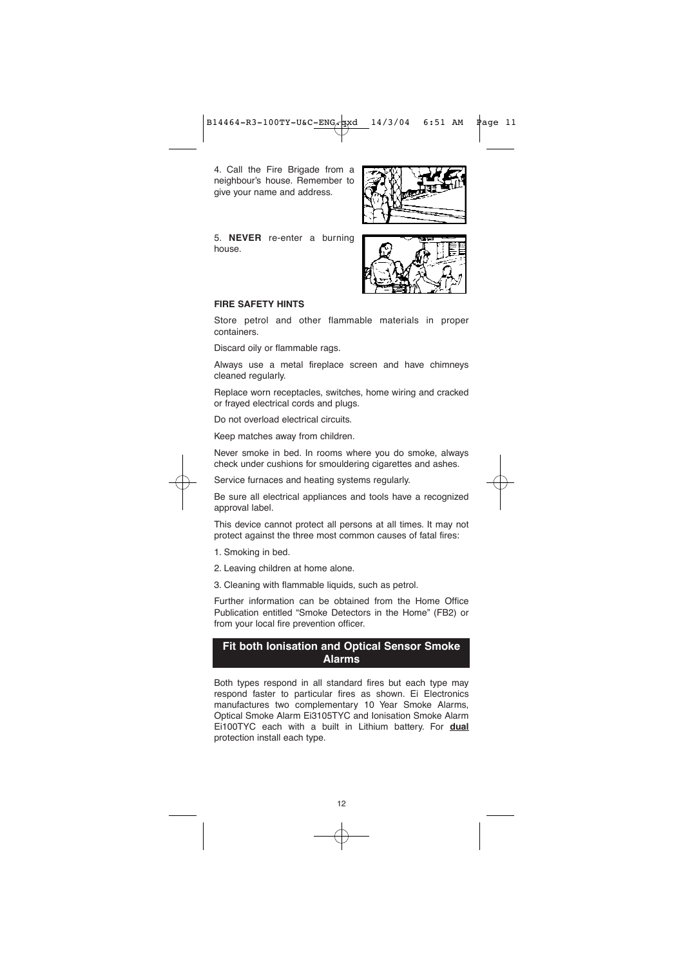B14464-R3-100TY-U&C-ENG.pxd 14/3/04 6:51 AM Page 11

4. Call the Fire Brigade from a neighbour's house. Remember to give your name and address.

5. **NEVER** re-enter a burning house.





#### **FIRE SAFETY HINTS**

Store petrol and other flammable materials in proper containers.

Discard oily or flammable rags.

Always use a metal fireplace screen and have chimneys cleaned regularly.

Replace worn receptacles, switches, home wiring and cracked or frayed electrical cords and plugs.

Do not overload electrical circuits.

Keep matches away from children.

Never smoke in bed. In rooms where you do smoke, always check under cushions for smouldering cigarettes and ashes.

Service furnaces and heating systems regularly.

Be sure all electrical appliances and tools have a recognized approval label.

This device cannot protect all persons at all times. It may not protect against the three most common causes of fatal fires:

- 1. Smoking in bed.
- 2. Leaving children at home alone.
- 3. Cleaning with flammable liquids, such as petrol.

Further information can be obtained from the Home Office Publication entitled "Smoke Detectors in the Home" (FB2) or from your local fire prevention officer.

# **Fit both Ionisation and Optical Sensor Smoke Alarms**

Both types respond in all standard fires but each type may respond faster to particular fires as shown. Ei Electronics manufactures two complementary 10 Year Smoke Alarms, Optical Smoke Alarm Ei3105TYC and Ionisation Smoke Alarm Ei100TYC each with a built in Lithium battery. For **dual** protection install each type.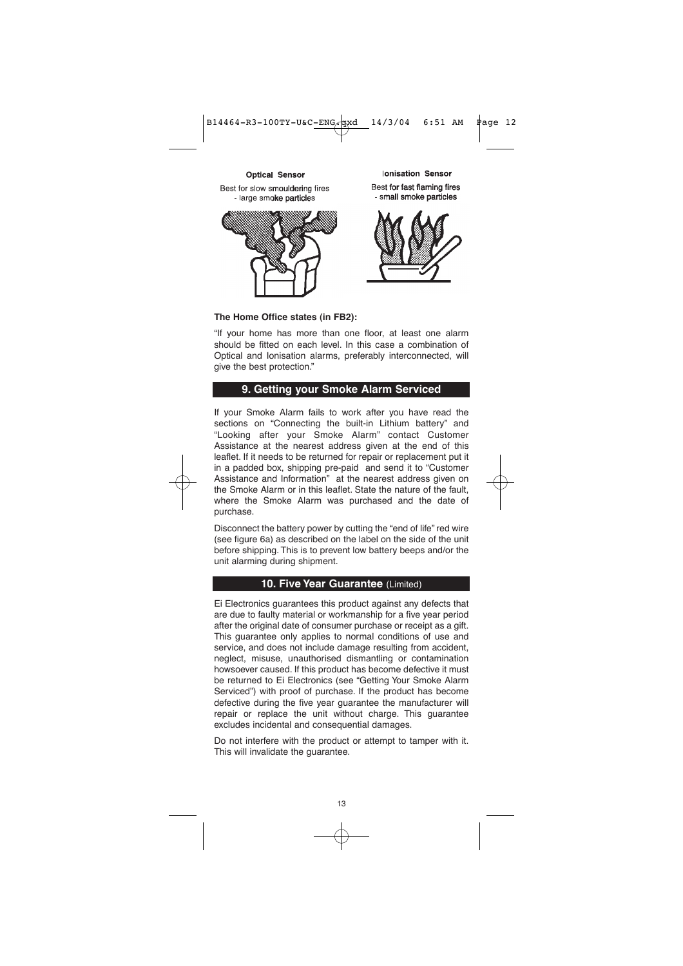

**Optical Sensor** Best for slow smouldering fires - large smoke narticles



**Ionisation Sensor** Best for fast flaming fires - small smoke particles



**The Home Office states (in FB2):**

"If your home has more than one floor, at least one alarm should be fitted on each level. In this case a combination of Optical and Ionisation alarms, preferably interconnected, will give the best protection."

### **9. Getting your Smoke Alarm Serviced**

If your Smoke Alarm fails to work after you have read the sections on "Connecting the built-in Lithium battery" and "Looking after your Smoke Alarm" contact Customer Assistance at the nearest address given at the end of this leaflet. If it needs to be returned for repair or replacement put it in a padded box, shipping pre-paid and send it to "Customer Assistance and Information" at the nearest address given on the Smoke Alarm or in this leaflet. State the nature of the fault, where the Smoke Alarm was purchased and the date of purchase.

Disconnect the battery power by cutting the "end of life" red wire (see figure 6a) as described on the label on the side of the unit before shipping. This is to prevent low battery beeps and/or the unit alarming during shipment.

#### **10. Five Year Guarantee** (Limited)

Ei Electronics guarantees this product against any defects that are due to faulty material or workmanship for a five year period after the original date of consumer purchase or receipt as a gift. This guarantee only applies to normal conditions of use and service, and does not include damage resulting from accident, neglect, misuse, unauthorised dismantling or contamination howsoever caused. If this product has become defective it must be returned to Ei Electronics (see "Getting Your Smoke Alarm Serviced") with proof of purchase. If the product has become defective during the five year guarantee the manufacturer will repair or replace the unit without charge. This guarantee excludes incidental and consequential damages.

Do not interfere with the product or attempt to tamper with it. This will invalidate the guarantee.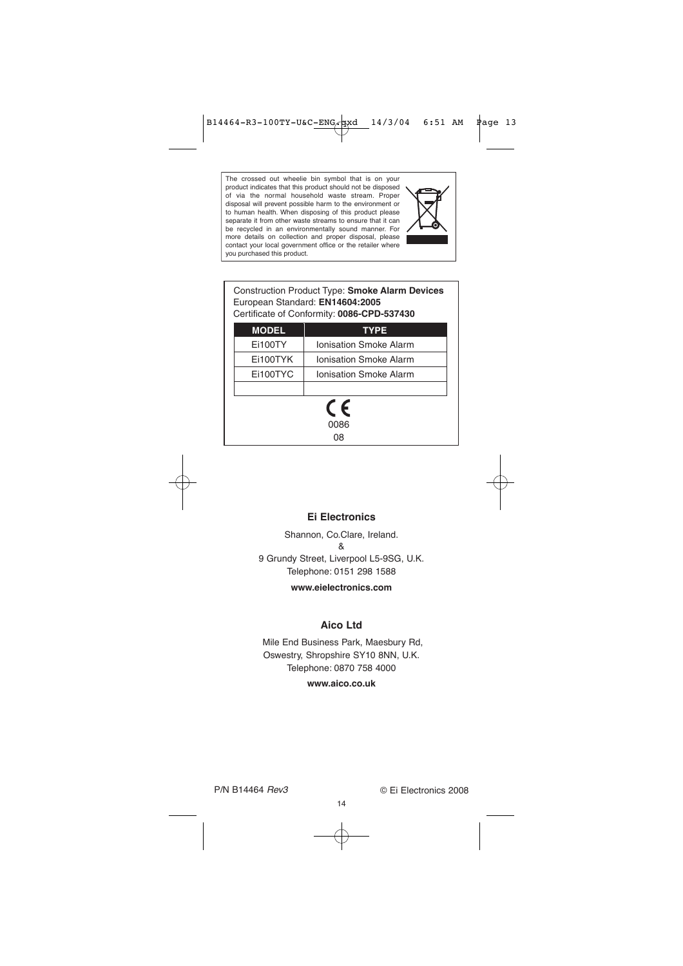The crossed out wheelie bin symbol that is on your product indicates that this product should not be disposed of via the normal household waste stream. Proper disposal will prevent possible harm to the environment or to human health. When disposing of this product please separate it from other waste streams to ensure that it can be recycled in an environmentally sound manner. For more details on collection and proper disposal, please contact your local government office or the retailer where you purchased this product.



| <b>MODEL</b> | <b>TYPE</b>                   |
|--------------|-------------------------------|
| Ei100TY      | <b>Ionisation Smoke Alarm</b> |
| Ei100TYK     | <b>Ionisation Smoke Alarm</b> |
| Ei100TYC     | <b>Ionisation Smoke Alarm</b> |
|              |                               |

 $\mathop{\mathsf{C}}\limits_{0086}$ 08

#### **Ei Electronics**

Shannon, Co.Clare, Ireland. & 9 Grundy Street, Liverpool L5-9SG, U.K. Telephone: 0151 298 1588

**www.eielectronics.com**

# **Aico Ltd**

Mile End Business Park, Maesbury Rd, Oswestry, Shropshire SY10 8NN, U.K. Telephone: 0870 758 4000

**www.aico.co.uk**

14

P/N B14464 *Rev3* © Ei Electronics 2008